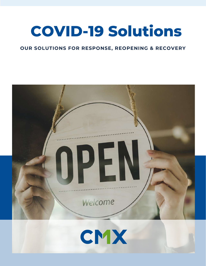# **COVID-19 Solutions**

### **OUR SOLUTIONS FOR RESPONSE, REOPENING & RECOVERY**

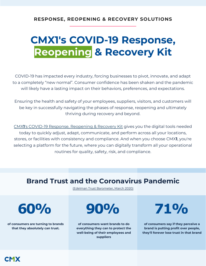# **CMX1's COVID-19 Response, Reopening & Recovery Kit**

COVID-19 has impacted every industry, forcing businesses to pivot, innovate, and adapt to a completely "new normal". Consumer confidence has been shaken and the pandemic will likely have a lasting impact on their behaviors, preferences, and expectations.

Ensuring the health and safety of your employees, suppliers, visitors, and customers will be key in successfully navigating the phases of response, reopening and ultimately thriving during recovery and beyond.

CMX**1**['s COVID-19 Response, Reopening & Recovery Kit](https://www.cmx1.com/covid-19-solutions-for-reopening-and-recovery) gives you the digital tools needed today to quickly adjust, adapt, communicate, and perform across all your locations, stores, or facilities with consistency and compliance. And when you choose CMX**1**, you're selecting a platform for the future, where you can digitally transform all your operational routines for quality, safety, risk, and compliance.

# **Brand Trust and the Coronavirus Pandemic**

[\(Edelman Trust Barometer, March 2020\)](https://www.edelman.com/research/covid-19-brand-trust-report)

**of consumers are turning to brands that they absolutely can trust.**

**60% 90% 71%**

**of consumers want brands to do everything they can to protect the well-being of their employees and suppliers**

**of consumers say if they perceive a brand is putting profit over people, they'll forever lose trust in that brand**

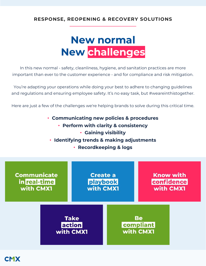# **New normal New challenges**

In this new normal - safety, cleanliness, hygiene, and sanitation practices are more important than ever to the customer experience - and for compliance and risk mitigation.

You're adapting your operations while doing your best to adhere to changing guidelines and regulations and ensuring employee safety. It's no easy task, but #weareinthistogether.

Here are just a few of the challenges we're helping brands to solve during this critical time.

- **Communicating new policies & procedures**
	- **Perform with clarity & consistency**
		- **Gaining visibility**
	- **Identifying trends & making adjustments**
		- **Recordkeeping & logs**

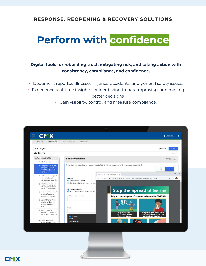# **Perform with confidence**

### **Digital tools for rebuilding trust, mitigating risk, and taking action with consistency, compliance, and confidence.**

- Document reported illnesses, injuries, accidents, and general safety issues.
- Experience real-time insights for identifying trends, improving, and making better decisions.
	- Gain visibility, control, and measure compliance.

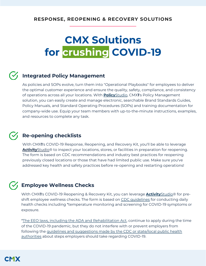# **CMX Solutions for crushing COVID-19**

## **Integrated Policy Management**

As policies and SOPs evolve, turn them into "Operational Playbooks" for employees to deliver the optimal customer experience and ensure the quality, safety, compliance, and consistency of operations across all your locations. With **Policy**[Studio,](https://www.cmx1.com/policy-management-software?hsLang=en) CMX**1**'s Policy Management solution, you can easily create and manage electronic, searchable Brand Standards Guides, Policy Manuals, and Standard Operating Procedures (SOPs) and training documentation for company-wide use. Equip your team members with up-to-the-minute instructions, examples, and resources to complete any task.

## **Re-opening checklists**

With CMX**1**'s COVID-19 Response, Reopening, and Recovery Kit, you'll be able to leverage **[Activity](https://www.cmx1.com/product-details-activitystudio?hsLang=en)**Studio® to inspect your locations, stores, or facilities in preparation for reopening. The form is based on CDC recommendations and industry best practices for reopening previously closed locations or those that have had limited public use. Make sure you've addressed key health and safety practices before re-opening and restarting operations!

## **Employee Wellness Checks**

With CMX**1**'s COVID-19 Reopening & Recovery Kit, you can leverage **[Activity](https://www.cmx1.com/product-details-activitystudio?hsLang=en)**Studio® for preshift employee wellness checks. The form is based on CDC quidelines for conducting daily health checks including \*temperature monitoring and screening for COVID-19 symptoms or exposure.

[\\*The EEO laws, including the ADA and Rehabilitation Act,](https://www.eeoc.gov/wysk/what-you-should-know-about-covid-19-and-ada-rehabilitation-act-and-other-eeo-laws) continue to apply during the time of the COVID-19 pandemic, but they do not interfere with or prevent employers from following the [guidelines and suggestions made by the CDC or state/local public health](https://www.cdc.gov/coronavirus/2019-ncov/community/index.html)  authorities about steps employers should take regarding COVID-19.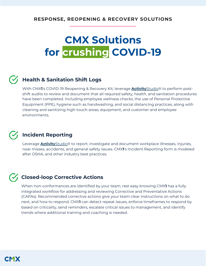# **CMX Solutions for crushing COVID-19**

# **Health & Sanitation Shift Logs**

With CMX**1**'s COVID-19 Reopening & Recovery Kit, leverage **[Activity](https://www.cmx1.com/product-details-activitystudio?hsLang=en)**Studio® to perform postshift audits to review and document that all required safety, health, and sanitation procedures have been completed. Including employee wellness checks, the use of Personal Protective Equipment (PPE), hygiene such as handwashing, and social distancing practices, along with cleaning and sanitizing high-touch areas, equipment, and customer and employee environments.

## **Incident Reporting**

Leverage **[Activity](https://www.cmx1.com/product-details-activitystudio?hsLang=en)**Studio® to report, investigate and document workplace illnesses, injuries, near misses, accidents, and general safety issues. CMX**1**'s Incident Reporting form is modeled after OSHA, and other industry best practices.

## **Closed-loop Corrective Actions**

When non-conformances are identified by your team, rest easy knowing CMX**1** has a fully integrated workflow for addressing and reviewing Corrective and Preventative Actions (CAPAs). Recommended corrective actions give your team clear instructions on what to do next, and how to respond. CMX**1** can detect repeat issues, enforce timeframes to respond by based on criticality, send reminders, escalate critical issues to management, and identify trends where additional training and coaching is needed.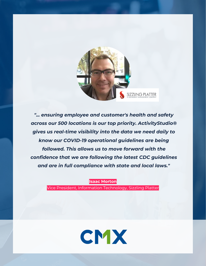

*"... ensuring employee and customer's health and safety across our 500 locations is our top priority. ActivityStudio® gives us real-time visibility into the data we need daily to know our COVID-19 operational guidelines are being followed. This allows us to move forward with the confidence that we are following the latest CDC guidelines and are in full compliance with state and local laws."*

**Isaac Morton**

Vice President, Information Technology, Sizzling Platter

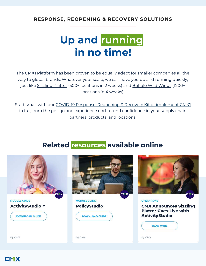# **Up and running in no time!**

The CMX**1** [Platform](https://www.cmx1.com/solutions?hsLang=en) has been proven to be equally adept for smaller companies all the way to global brands. Whatever your scale, we can have you up and running quickly, just like [Sizzling Platter](https://blog.cmx1.com/news-and-press/cmx-announces-sizzling-platter-goes-live-with-activitystudio?hsLang=en) (500+ locations in 2 weeks) and [Buffalo Wild Wings](https://blog.cmx1.com/news-and-press/buffalo-wild-wings-activitystudio?hsLang=en) (1200+ locations in 4 weeks).

Start small with our [COVID-19 Response, Reopening & Recovery Kit or implement CMX](https://www.cmx1.com/covid-19-solutions-for-reopening-and-recovery)**1** in full, from the get-go and experience end-to-end confidence in your supply chain partners, products, and locations.

# **Related resources available online**



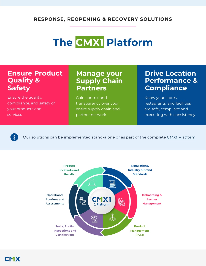# **The CMX1 Platform**

# **Ensure Product Quality & Safety**

Ensure the quality, compliance, and safety of your products and services

# **Manage your Supply Chain Partners**

Gain control and transparency over your entire supply chain and partner network

# **Drive Location Performance & Compliance**

Know your stores, restaurants, and facilities are safe, compliant and executing with consistency

 $\dot{\mathbf{z}}$ 

Our solutions can be implemented stand-alone or as part of the complete CMX**1** [Platform](http://www.cmx1.com/solutions)